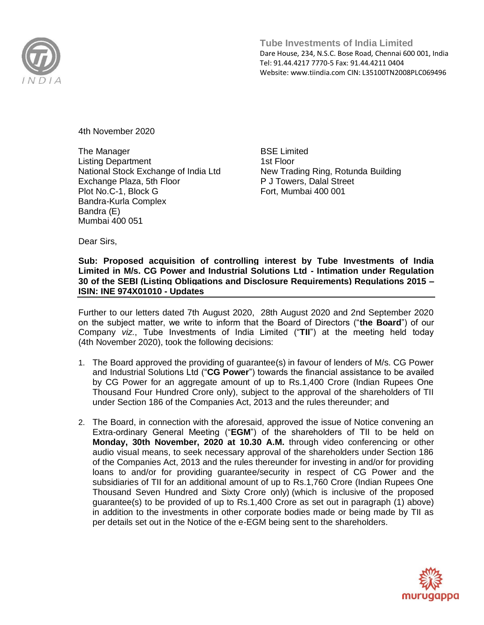

4th November 2020

The Manager Listing Department National Stock Exchange of India Ltd Exchange Plaza, 5th Floor Plot No.C-1, Block G Bandra-Kurla Complex Bandra (E) Mumbai 400 051

BSE Limited 1st Floor New Trading Ring, Rotunda Building P J Towers, Dalal Street Fort, Mumbai 400 001

Dear Sirs,

## **Sub: Proposed acquisition of controlling interest by Tube Investments of India Limited in M/s. CG Power and Industrial Solutions Ltd - Intimation under Regulation 30 of the SEBI (Listing Obligations and Disclosure Requirements) Regulations 2015 – ISIN: INE 974X01010 - Updates**

Further to our letters dated 7th August 2020, 28th August 2020 and 2nd September 2020 on the subject matter, we write to inform that the Board of Directors ("**the Board**") of our Company *viz.*, Tube Investments of India Limited ("**TII**") at the meeting held today (4th November 2020), took the following decisions:

- 1. The Board approved the providing of guarantee(s) in favour of lenders of M/s. CG Power and Industrial Solutions Ltd ("**CG Power**") towards the financial assistance to be availed by CG Power for an aggregate amount of up to Rs.1,400 Crore (Indian Rupees One Thousand Four Hundred Crore only), subject to the approval of the shareholders of TII under Section 186 of the Companies Act, 2013 and the rules thereunder; and
- 2. The Board, in connection with the aforesaid, approved the issue of Notice convening an Extra-ordinary General Meeting ("**EGM**") of the shareholders of TII to be held on **Monday, 30th November, 2020 at 10.30 A.M.** through video conferencing or other audio visual means, to seek necessary approval of the shareholders under Section 186 of the Companies Act, 2013 and the rules thereunder for investing in and/or for providing loans to and/or for providing guarantee/security in respect of CG Power and the subsidiaries of TII for an additional amount of up to Rs.1,760 Crore (Indian Rupees One Thousand Seven Hundred and Sixty Crore only) (which is inclusive of the proposed guarantee(s) to be provided of up to Rs.1,400 Crore as set out in paragraph (1) above) in addition to the investments in other corporate bodies made or being made by TII as per details set out in the Notice of the e-EGM being sent to the shareholders.